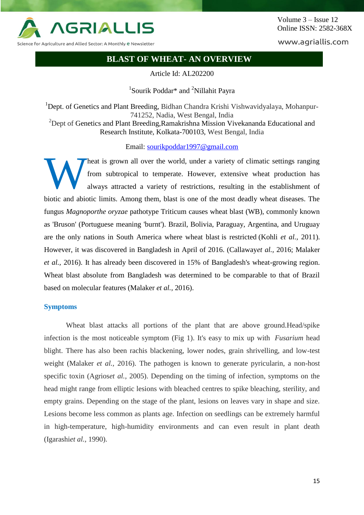

Science for Agriculture and Allied Sector: A Monthly e Newsletter

www.agriallis.com

# **BLAST OF WHEAT- AN OVERVIEW**

Article Id: AL202200

<sup>1</sup>Sourik Poddar\* and <sup>2</sup>Nillahit Payra

<sup>1</sup>Dept. of Genetics and Plant Breeding, Bidhan Chandra Krishi Vishwavidyalaya, Mohanpur-741252, Nadia, West Bengal, India <sup>2</sup>Dept of Genetics and Plant Breeding, Ramakrishna Mission Vivekananda Educational and Research Institute, Kolkata-700103, West Bengal, India

Email: [sourikpoddar1997@gmail.com](mailto:sourikpoddar1997@gmail.com)

heat is grown all over the world, under a variety of climatic settings ranging from subtropical to temperate. However, extensive wheat production has always attracted a variety of restrictions, resulting in the establishment of biotic and abiotic limits. Among them, blast is one of the most deadly wheat diseases. The fungus *Magnoporthe oryzae* pathotype Triticum causes wheat blast (WB), commonly known as 'Bruson' (Portuguese meaning 'burnt'). Brazil, Bolivia, Paraguay, Argentina, and Uruguay are the only nations in South America where wheat blast is restricted (Kohli *et al.,* 2011). However, it was discovered in Bangladesh in April of 2016. (Callaway*et al.,* 2016; Malaker *et al.,* 2016). It has already been discovered in 15% of Bangladesh's wheat-growing region. Wheat blast absolute from Bangladesh was determined to be comparable to that of Brazil based on molecular features (Malaker *et al.,* 2016). W

#### **Symptoms**

Wheat blast attacks all portions of the plant that are above ground.Head/spike infection is the most noticeable symptom (Fig 1). It's easy to mix up with *Fusarium* head blight. There has also been rachis blackening, lower nodes, grain shrivelling, and low-test weight (Malaker *et al.,* 2016). The pathogen is known to generate pyricularin, a non-host specific toxin (Agrios*et al.,* 2005). Depending on the timing of infection, symptoms on the head might range from elliptic lesions with bleached centres to spike bleaching, sterility, and empty grains. Depending on the stage of the plant, lesions on leaves vary in shape and size. Lesions become less common as plants age. Infection on seedlings can be extremely harmful in high-temperature, high-humidity environments and can even result in plant death (Igarashi*et al.,* 1990).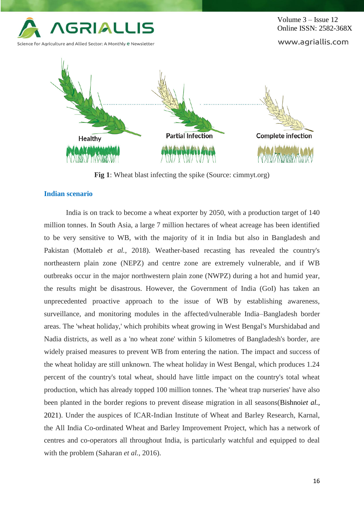

**Fig 1**: Wheat blast infecting the spike (Source: cimmyt.org)

## **Indian scenario**

India is on track to become a wheat exporter by 2050, with a production target of 140 million tonnes. In South Asia, a large 7 million hectares of wheat acreage has been identified to be very sensitive to WB, with the majority of it in India but also in Bangladesh and Pakistan (Mottaleb *et al.,* 2018). Weather-based recasting has revealed the country's northeastern plain zone (NEPZ) and centre zone are extremely vulnerable, and if WB outbreaks occur in the major northwestern plain zone (NWPZ) during a hot and humid year, the results might be disastrous. However, the Government of India (GoI) has taken an unprecedented proactive approach to the issue of WB by establishing awareness, surveillance, and monitoring modules in the affected/vulnerable India–Bangladesh border areas. The 'wheat holiday,' which prohibits wheat growing in West Bengal's Murshidabad and Nadia districts, as well as a 'no wheat zone' within 5 kilometres of Bangladesh's border, are widely praised measures to prevent WB from entering the nation. The impact and success of the wheat holiday are still unknown. The wheat holiday in West Bengal, which produces 1.24 percent of the country's total wheat, should have little impact on the country's total wheat production, which has already topped 100 million tonnes. The 'wheat trap nurseries' have also been planted in the border regions to prevent disease migration in all seasons(Bishnoi*et al.,* 2021). Under the auspices of ICAR-Indian Institute of Wheat and Barley Research, Karnal, the All India Co-ordinated Wheat and Barley Improvement Project, which has a network of centres and co-operators all throughout India, is particularly watchful and equipped to deal with the problem (Saharan *et al.,* 2016).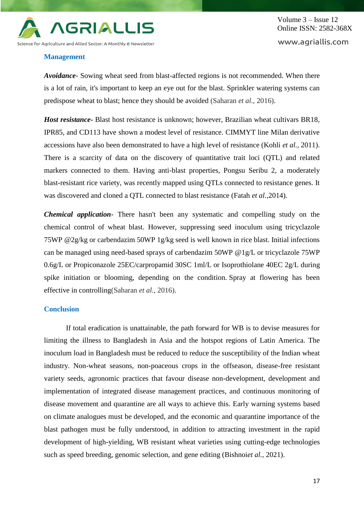

Volume 3 – Issue 12 Online ISSN: 2582-368X www.agriallis.com

## **Management**

*Avoidance*- Sowing wheat seed from blast-affected regions is not recommended. When there is a lot of rain, it's important to keep an eye out for the blast. Sprinkler watering systems can predispose wheat to blast; hence they should be avoided (Saharan *et al.,* 2016).

*Host resistance-* Blast host resistance is unknown; however, Brazilian wheat cultivars BR18, IPR85, and CD113 have shown a modest level of resistance. CIMMYT line Milan derivative accessions have also been demonstrated to have a high level of resistance (Kohli *et al.,* 2011). There is a scarcity of data on the discovery of quantitative trait loci (QTL) and related markers connected to them. Having anti-blast properties, Pongsu Seribu 2, a moderately blast-resistant rice variety, was recently mapped using QTLs connected to resistance genes. It was discovered and cloned a QTL connected to blast resistance (Fatah *et al.,*2014).

*Chemical application*- There hasn't been any systematic and compelling study on the chemical control of wheat blast. However, suppressing seed inoculum using tricyclazole 75WP @2g/kg or carbendazim 50WP 1g/kg seed is well known in rice blast. Initial infections can be managed using need-based sprays of carbendazim 50WP @1g/L or tricyclazole 75WP 0.6g/L or Propiconazole 25EC/carpropamid 30SC 1ml/L or Isoprothiolane 40EC 2g/L during spike initiation or blooming, depending on the condition. Spray at flowering has been effective in controlling(Saharan *et al.,* 2016).

## **Conclusion**

If total eradication is unattainable, the path forward for WB is to devise measures for limiting the illness to Bangladesh in Asia and the hotspot regions of Latin America. The inoculum load in Bangladesh must be reduced to reduce the susceptibility of the Indian wheat industry. Non-wheat seasons, non-poaceous crops in the offseason, disease-free resistant variety seeds, agronomic practices that favour disease non-development, development and implementation of integrated disease management practices, and continuous monitoring of disease movement and quarantine are all ways to achieve this. Early warning systems based on climate analogues must be developed, and the economic and quarantine importance of the blast pathogen must be fully understood, in addition to attracting investment in the rapid development of high-yielding, WB resistant wheat varieties using cutting-edge technologies such as speed breeding, genomic selection, and gene editing (Bishnoi*et al.,* 2021).